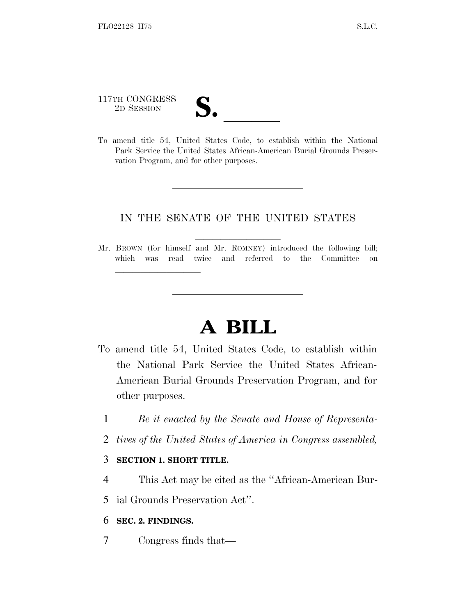117TH CONGRESS

lland and a state of the state of the state of the state of the state of the state of the state of the state o

117TH CONGRESS<br>
2D SESSION<br>
To amend title 54, United States Code, to establish within the National Park Service the United States African-American Burial Grounds Preservation Program, and for other purposes.

### IN THE SENATE OF THE UNITED STATES

Mr. BROWN (for himself and Mr. ROMNEY) introduced the following bill; which was read twice and referred to the Committee on

# **A BILL**

- To amend title 54, United States Code, to establish within the National Park Service the United States African-American Burial Grounds Preservation Program, and for other purposes.
	- 1 *Be it enacted by the Senate and House of Representa-*
	- 2 *tives of the United States of America in Congress assembled,*

#### 3 **SECTION 1. SHORT TITLE.**

4 This Act may be cited as the ''African-American Bur-

5 ial Grounds Preservation Act''.

- 6 **SEC. 2. FINDINGS.**
- 7 Congress finds that—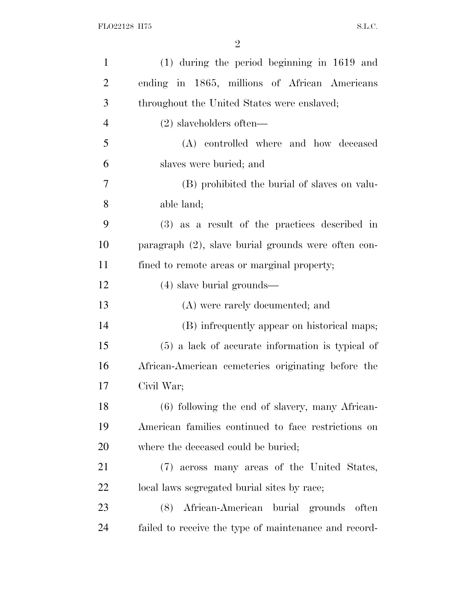| $\mathbf{1}$   | $(1)$ during the period beginning in 1619 and       |
|----------------|-----------------------------------------------------|
| $\overline{2}$ | ending in 1865, millions of African Americans       |
| 3              | throughout the United States were enslaved;         |
| $\overline{4}$ | $(2)$ slaveholders often—                           |
| 5              | (A) controlled where and how deceased               |
| 6              | slaves were buried; and                             |
| 7              | (B) prohibited the burial of slaves on valu-        |
| 8              | able land;                                          |
| 9              | (3) as a result of the practices described in       |
| 10             | paragraph (2), slave burial grounds were often con- |
| 11             | fined to remote areas or marginal property;         |
| 12             | $(4)$ slave burial grounds—                         |
| 13             | (A) were rarely documented; and                     |
| 14             | (B) infrequently appear on historical maps;         |
| 15             | $(5)$ a lack of accurate information is typical of  |
| 16             | African-American cemeteries originating before the  |
| 17             | Civil War;                                          |
| 18             | (6) following the end of slavery, many African-     |
| 19             | American families continued to face restrictions on |
| 20             | where the deceased could be buried;                 |
| 21             | (7) across many areas of the United States,         |
| 22             | local laws segregated burial sites by race;         |
|                |                                                     |
| 23             | African-American burial grounds often<br>(8)        |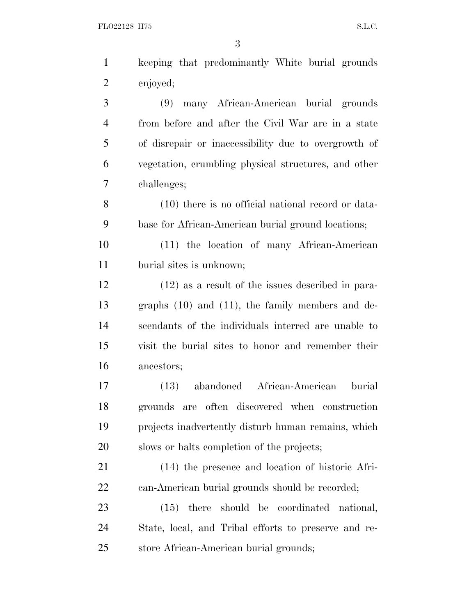| $\mathbf{1}$   | keeping that predominantly White burial grounds       |
|----------------|-------------------------------------------------------|
| $\overline{2}$ | enjoyed;                                              |
| $\mathfrak{Z}$ | many African-American burial grounds<br>(9)           |
| $\overline{4}$ | from before and after the Civil War are in a state    |
| 5              | of disrepair or inaccessibility due to overgrowth of  |
| 6              | vegetation, crumbling physical structures, and other  |
| 7              | challenges;                                           |
| 8              | $(10)$ there is no official national record or data-  |
| 9              | base for African-American burial ground locations;    |
| 10             | (11) the location of many African-American            |
| 11             | burial sites is unknown;                              |
| 12             | $(12)$ as a result of the issues described in para-   |
| 13             | graphs $(10)$ and $(11)$ , the family members and de- |
| 14             | scendants of the individuals interred are unable to   |
| 15             | visit the burial sites to honor and remember their    |
| 16             | ancestors;                                            |
| 17             | abandoned African-American<br>burial<br>(13)          |
| 18             | are often discovered when construction<br>grounds     |
| 19             | projects inadvertently disturb human remains, which   |
| 20             | slows or halts completion of the projects;            |
| 21             | (14) the presence and location of historic Afri-      |
| 22             | can-American burial grounds should be recorded;       |
| 23             | $(15)$ there should be coordinated national,          |
| 24             | State, local, and Tribal efforts to preserve and re-  |
| 25             | store African-American burial grounds;                |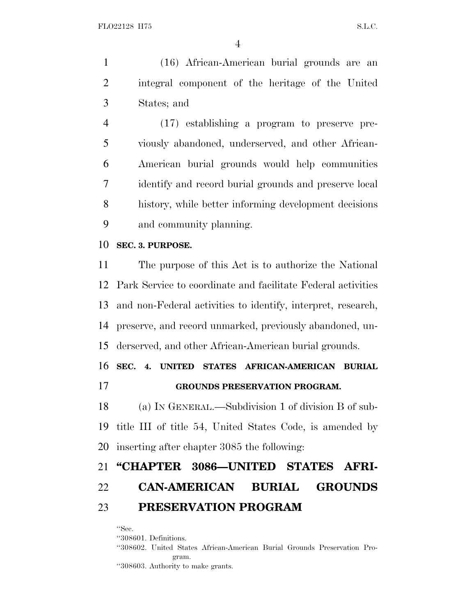(16) African-American burial grounds are an integral component of the heritage of the United States; and

 (17) establishing a program to preserve pre- viously abandoned, underserved, and other African- American burial grounds would help communities identify and record burial grounds and preserve local history, while better informing development decisions and community planning.

#### **SEC. 3. PURPOSE.**

 The purpose of this Act is to authorize the National Park Service to coordinate and facilitate Federal activities and non-Federal activities to identify, interpret, research, preserve, and record unmarked, previously abandoned, un-derserved, and other African-American burial grounds.

**SEC. 4. UNITED STATES AFRICAN-AMERICAN BURIAL**

**GROUNDS PRESERVATION PROGRAM.**

 (a) I<sup>N</sup> GENERAL.—Subdivision 1 of division B of sub- title III of title 54, United States Code, is amended by inserting after chapter 3085 the following:

## **''CHAPTER 3086—UNITED STATES AFRI- CAN-AMERICAN BURIAL GROUNDS PRESERVATION PROGRAM**

''Sec.

''308601. Definitions.

''308602. United States African-American Burial Grounds Preservation Program. ''308603. Authority to make grants.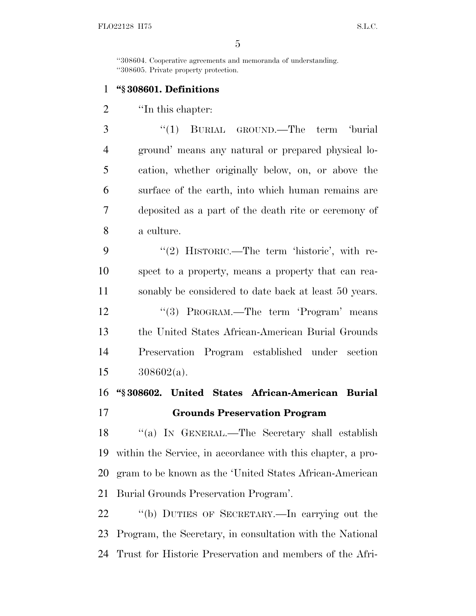''308604. Cooperative agreements and memoranda of understanding. ''308605. Private property protection.

### **''§ 308601. Definitions**

2 <sup>"</sup>In this chapter:

 ''(1) BURIAL GROUND.—The term 'burial ground' means any natural or prepared physical lo- cation, whether originally below, on, or above the surface of the earth, into which human remains are deposited as a part of the death rite or ceremony of a culture.

9 "(2) HISTORIC.—The term 'historic', with re- spect to a property, means a property that can rea- sonably be considered to date back at least 50 years. 12 "(3) PROGRAM.—The term 'Program' means the United States African-American Burial Grounds Preservation Program established under section 308602(a).

### **''§ 308602. United States African-American Burial Grounds Preservation Program**

 ''(a) I<sup>N</sup> GENERAL.—The Secretary shall establish within the Service, in accordance with this chapter, a pro- gram to be known as the 'United States African-American Burial Grounds Preservation Program'.

 ''(b) DUTIES OF SECRETARY.—In carrying out the Program, the Secretary, in consultation with the National Trust for Historic Preservation and members of the Afri-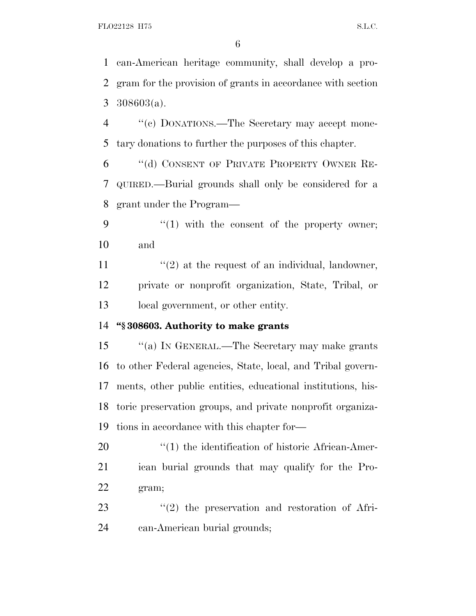can-American heritage community, shall develop a pro- gram for the provision of grants in accordance with section 308603(a).

 ''(c) DONATIONS.—The Secretary may accept mone-tary donations to further the purposes of this chapter.

 ''(d) CONSENT OF PRIVATE PROPERTY OWNER RE- QUIRED.—Burial grounds shall only be considered for a grant under the Program—

9  $\frac{4}{1}$  with the consent of the property owner; and

11  $\frac{1}{2}$  at the request of an individual, landowner, private or nonprofit organization, State, Tribal, or local government, or other entity.

### **''§ 308603. Authority to make grants**

 ''(a) I<sup>N</sup> GENERAL.—The Secretary may make grants to other Federal agencies, State, local, and Tribal govern- ments, other public entities, educational institutions, his- toric preservation groups, and private nonprofit organiza-tions in accordance with this chapter for—

20  $\frac{1}{20}$  The identification of historic African-Amer- ican burial grounds that may qualify for the Pro-gram;

23  $\frac{1}{2}$  the preservation and restoration of Afri-can-American burial grounds;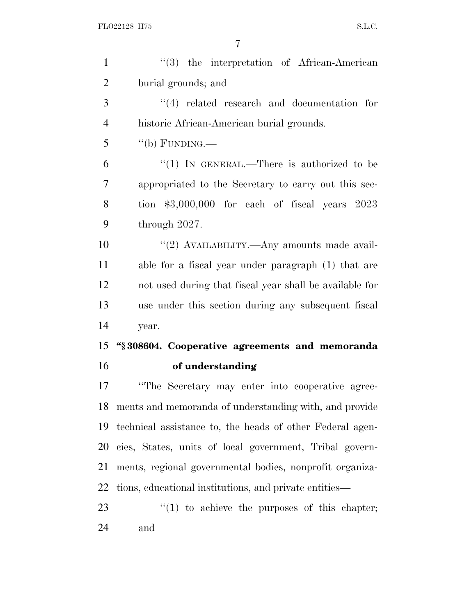| $\mathbf{1}$   | $(3)$ the interpretation of African-American              |
|----------------|-----------------------------------------------------------|
| $\overline{2}$ | burial grounds; and                                       |
| 3              | $(4)$ related research and documentation for              |
| $\overline{4}$ | historic African-American burial grounds.                 |
| 5              | "(b) FUNDING.—                                            |
| 6              | "(1) IN GENERAL.—There is authorized to be                |
| 7              | appropriated to the Secretary to carry out this sec-      |
| 8              | tion $$3,000,000$ for each of fiscal years $2023$         |
| 9              | through $2027$ .                                          |
| 10             | "(2) AVAILABILITY.—Any amounts made avail-                |
| 11             | able for a fiscal year under paragraph (1) that are       |
| 12             | not used during that fiscal year shall be available for   |
| 13             | use under this section during any subsequent fiscal       |
|                |                                                           |
| 14             | year.                                                     |
| 15             | "§308604. Cooperative agreements and memoranda            |
| 16             | of understanding                                          |
| 17             | "The Secretary may enter into cooperative agree-          |
| 18             | ments and memoranda of understanding with, and provide    |
| 19             | technical assistance to, the heads of other Federal agen- |
| 20             | cies, States, units of local government, Tribal govern-   |
| 21             | ments, regional governmental bodies, nonprofit organiza-  |
| 22             | tions, educational institutions, and private entities—    |
| 23             | $\lq(1)$ to achieve the purposes of this chapter;         |